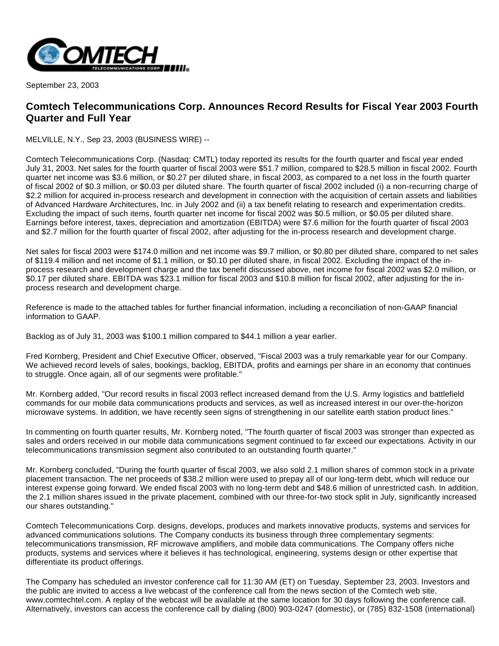

September 23, 2003

## **Comtech Telecommunications Corp. Announces Record Results for Fiscal Year 2003 Fourth Quarter and Full Year**

MELVILLE, N.Y., Sep 23, 2003 (BUSINESS WIRE) --

Comtech Telecommunications Corp. (Nasdaq: CMTL) today reported its results for the fourth quarter and fiscal year ended July 31, 2003. Net sales for the fourth quarter of fiscal 2003 were \$51.7 million, compared to \$28.5 million in fiscal 2002. Fourth quarter net income was \$3.6 million, or \$0.27 per diluted share, in fiscal 2003, as compared to a net loss in the fourth quarter of fiscal 2002 of \$0.3 million, or \$0.03 per diluted share. The fourth quarter of fiscal 2002 included (i) a non-recurring charge of \$2.2 million for acquired in-process research and development in connection with the acquisition of certain assets and liabilities of Advanced Hardware Architectures, Inc. in July 2002 and (ii) a tax benefit relating to research and experimentation credits. Excluding the impact of such items, fourth quarter net income for fiscal 2002 was \$0.5 million, or \$0.05 per diluted share. Earnings before interest, taxes, depreciation and amortization (EBITDA) were \$7.6 million for the fourth quarter of fiscal 2003 and \$2.7 million for the fourth quarter of fiscal 2002, after adjusting for the in-process research and development charge.

Net sales for fiscal 2003 were \$174.0 million and net income was \$9.7 million, or \$0.80 per diluted share, compared to net sales of \$119.4 million and net income of \$1.1 million, or \$0.10 per diluted share, in fiscal 2002. Excluding the impact of the inprocess research and development charge and the tax benefit discussed above, net income for fiscal 2002 was \$2.0 million, or \$0.17 per diluted share. EBITDA was \$23.1 million for fiscal 2003 and \$10.8 million for fiscal 2002, after adjusting for the inprocess research and development charge.

Reference is made to the attached tables for further financial information, including a reconciliation of non-GAAP financial information to GAAP.

Backlog as of July 31, 2003 was \$100.1 million compared to \$44.1 million a year earlier.

Fred Kornberg, President and Chief Executive Officer, observed, "Fiscal 2003 was a truly remarkable year for our Company. We achieved record levels of sales, bookings, backlog, EBITDA, profits and earnings per share in an economy that continues to struggle. Once again, all of our segments were profitable."

Mr. Kornberg added, "Our record results in fiscal 2003 reflect increased demand from the U.S. Army logistics and battlefield commands for our mobile data communications products and services, as well as increased interest in our over-the-horizon microwave systems. In addition, we have recently seen signs of strengthening in our satellite earth station product lines."

In commenting on fourth quarter results, Mr. Kornberg noted, "The fourth quarter of fiscal 2003 was stronger than expected as sales and orders received in our mobile data communications segment continued to far exceed our expectations. Activity in our telecommunications transmission segment also contributed to an outstanding fourth quarter."

Mr. Kornberg concluded, "During the fourth quarter of fiscal 2003, we also sold 2.1 million shares of common stock in a private placement transaction. The net proceeds of \$38.2 million were used to prepay all of our long-term debt, which will reduce our interest expense going forward. We ended fiscal 2003 with no long-term debt and \$48.6 million of unrestricted cash. In addition, the 2.1 million shares issued in the private placement, combined with our three-for-two stock split in July, significantly increased our shares outstanding."

Comtech Telecommunications Corp. designs, develops, produces and markets innovative products, systems and services for advanced communications solutions. The Company conducts its business through three complementary segments: telecommunications transmission, RF microwave amplifiers, and mobile data communications. The Company offers niche products, systems and services where it believes it has technological, engineering, systems design or other expertise that differentiate its product offerings.

The Company has scheduled an investor conference call for 11:30 AM (ET) on Tuesday, September 23, 2003. Investors and the public are invited to access a live webcast of the conference call from the news section of the Comtech web site, www.comtechtel.com. A replay of the webcast will be available at the same location for 30 days following the conference call. Alternatively, investors can access the conference call by dialing (800) 903-0247 (domestic), or (785) 832-1508 (international)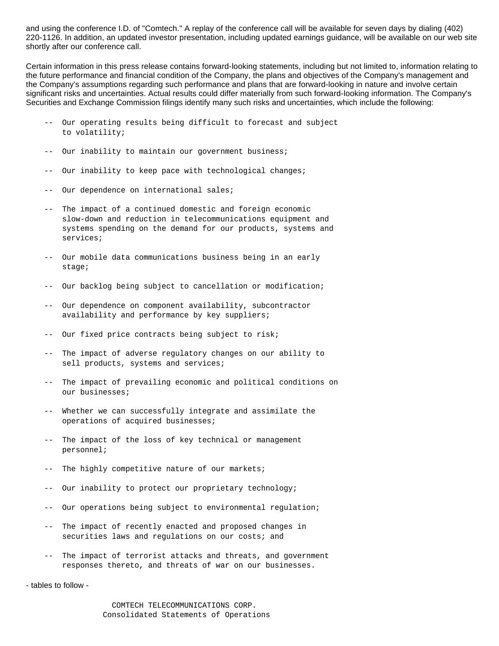and using the conference I.D. of "Comtech." A replay of the conference call will be available for seven days by dialing (402) 220-1126. In addition, an updated investor presentation, including updated earnings guidance, will be available on our web site shortly after our conference call.

Certain information in this press release contains forward-looking statements, including but not limited to, information relating to the future performance and financial condition of the Company, the plans and objectives of the Company's management and the Company's assumptions regarding such performance and plans that are forward-looking in nature and involve certain significant risks and uncertainties. Actual results could differ materially from such forward-looking information. The Company's Securities and Exchange Commission filings identify many such risks and uncertainties, which include the following:

- -- Our operating results being difficult to forecast and subject to volatility;
- -- Our inability to maintain our government business;
- -- Our inability to keep pace with technological changes;
- -- Our dependence on international sales;
- -- The impact of a continued domestic and foreign economic slow-down and reduction in telecommunications equipment and systems spending on the demand for our products, systems and services;
- -- Our mobile data communications business being in an early stage;
- -- Our backlog being subject to cancellation or modification;
- -- Our dependence on component availability, subcontractor availability and performance by key suppliers;
- -- Our fixed price contracts being subject to risk;
- -- The impact of adverse regulatory changes on our ability to sell products, systems and services;
- -- The impact of prevailing economic and political conditions on our businesses;
- -- Whether we can successfully integrate and assimilate the operations of acquired businesses;
- -- The impact of the loss of key technical or management personnel;
- The highly competitive nature of our markets;
- Our inability to protect our proprietary technology;
- -- Our operations being subject to environmental regulation;
- -- The impact of recently enacted and proposed changes in securities laws and regulations on our costs; and
- -- The impact of terrorist attacks and threats, and government responses thereto, and threats of war on our businesses.

- tables to follow -

 COMTECH TELECOMMUNICATIONS CORP. Consolidated Statements of Operations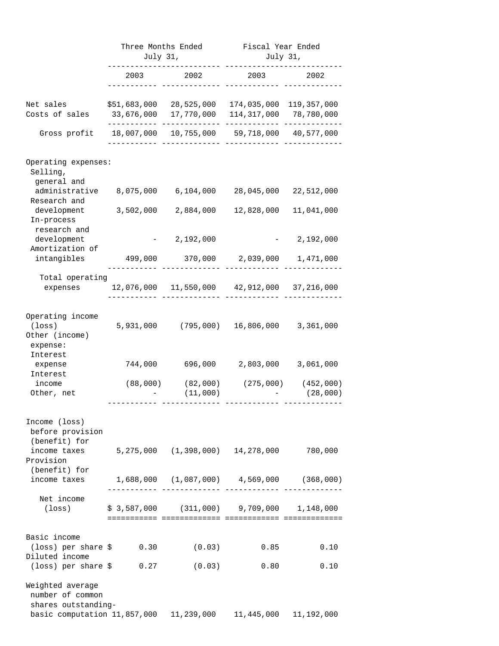|                                                                     | Three Months Ended<br>July 31, |                                       | Fiscal Year Ended<br>July 31,                     |                       |
|---------------------------------------------------------------------|--------------------------------|---------------------------------------|---------------------------------------------------|-----------------------|
|                                                                     | 2003                           | 2002                                  | 2003                                              | 2002                  |
| Net sales<br>Costs of sales                                         | 33,676,000                     | \$51,683,000 28,525,000<br>17,770,000 | 174,035,000<br>114,317,000 78,780,000             | 119,357,000           |
| Gross profit                                                        |                                |                                       | 18,007,000 10,755,000 59,718,000 40,577,000       |                       |
| Operating expenses:                                                 |                                |                                       |                                                   |                       |
| Selling,<br>general and<br>administrative<br>Research and           |                                | 8,075,000 6,104,000                   | 28,045,000                                        | 22,512,000            |
| development<br>In-process                                           |                                | 3,502,000 2,884,000                   | 12,828,000                                        | 11,041,000            |
| research and<br>development<br>Amortization of                      |                                | 2,192,000                             |                                                   | 2,192,000             |
| intangibles                                                         |                                | 499,000 370,000 2,039,000             |                                                   | 1,471,000             |
| Total operating<br>expenses                                         |                                |                                       | 12,076,000  11,550,000  42,912,000  37,216,000    |                       |
| Operating income<br>$(\texttt{loss})$<br>Other (income)<br>expense: |                                | 5,931,000 (795,000) 16,806,000        |                                                   | 3,361,000             |
| Interest<br>expense<br>Interest                                     |                                | 744,000 696,000                       | 2,803,000                                         | 3,061,000             |
| income<br>Other, net                                                | (88,000)                       | (82,000)<br>(11,000)                  | (275,000)                                         | (452,000)<br>(28,000) |
| Income (loss)<br>before provision<br>(benefit) for                  |                                |                                       |                                                   |                       |
| income taxes 5,275,000 (1,398,000) 14,278,000<br>Provision          |                                |                                       |                                                   | 780,000               |
| (benefit) for<br>income taxes                                       |                                |                                       | $1,688,000$ $(1,087,000)$ $4,569,000$ $(368,000)$ |                       |
| Net income<br>(loss)                                                |                                |                                       | $$3,587,000$ (311,000) 9,709,000 1,148,000        |                       |
| Basic income<br>$(\text{loss})$ per share $\frac{1}{2}$ 0.30        |                                | (0.03)                                | 0.85                                              | 0.10                  |
| Diluted income<br>$(\text{loss})$ per share $\zeta$ 0.27            |                                | (0.03)                                | 0.80                                              | 0.10                  |
| Weighted average<br>number of common<br>shares outstanding-         |                                |                                       |                                                   |                       |
| basic computation 11,857,000   11,239,000   11,445,000   11,192,000 |                                |                                       |                                                   |                       |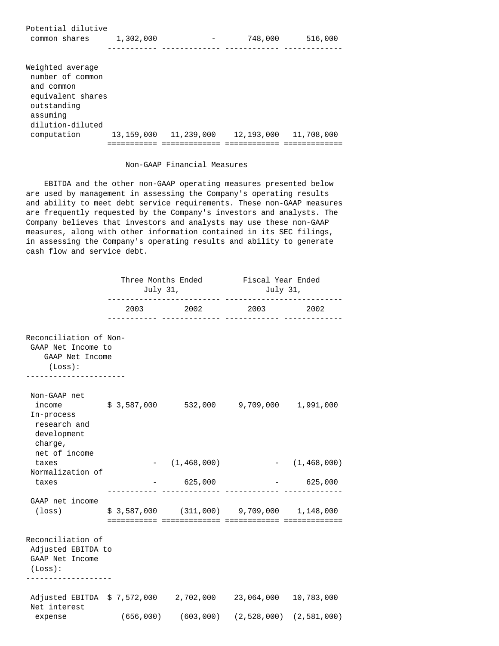Potential dilutive common shares 1,302,000 - 748,000 516,000 ----------- ------------- ------------ -------------

Weighted average number of common and common equivalent shares outstanding assuming dilution-diluted computation 13,159,000 11,239,000 12,193,000 11,708,000 =========== ============= ============ =============

## Non-GAAP Financial Measures

 EBITDA and the other non-GAAP operating measures presented below are used by management in assessing the Company's operating results and ability to meet debt service requirements. These non-GAAP measures are frequently requested by the Company's investors and analysts. The Company believes that investors and analysts may use these non-GAAP measures, along with other information contained in its SEC filings, in assessing the Company's operating results and ability to generate cash flow and service debt.

|                                                                                                                                       | Three Months Ended Fiscal Year Ended<br>July 31, |                                            | July 31,                                |            |
|---------------------------------------------------------------------------------------------------------------------------------------|--------------------------------------------------|--------------------------------------------|-----------------------------------------|------------|
|                                                                                                                                       |                                                  | 2003 2002 2003                             |                                         | 2002       |
| Reconciliation of Non-<br>GAAP Net Income to<br>GAAP Net Income<br>(Loss):<br>-------------------                                     |                                                  |                                            |                                         |            |
| Non-GAAP net<br>income $\frac{1}{5}$ \$ 3,587,000 532,000 9,709,000 1,991,000<br>In-process<br>research and<br>development<br>charge, |                                                  |                                            |                                         |            |
| net of income<br>taxes                                                                                                                |                                                  | $-$ (1,468,000) $-$ (1,468,000)            |                                         |            |
| Normalization of<br>taxes                                                                                                             |                                                  | $-625,000$                                 |                                         | $-625,000$ |
| GAAP net income<br>$(\texttt{loss})$                                                                                                  |                                                  | $$3,587,000$ (311,000) 9,709,000 1,148,000 |                                         |            |
| Reconciliation of<br>Adjusted EBITDA to<br>GAAP Net Income<br>(Loss):<br>-------------------                                          |                                                  |                                            |                                         |            |
| Adjusted EBITDA \$7,572,000 2,702,000 23,064,000 10,783,000<br>Net interest<br>expense                                                | (656,000)                                        |                                            | $(603,000)$ $(2,528,000)$ $(2,581,000)$ |            |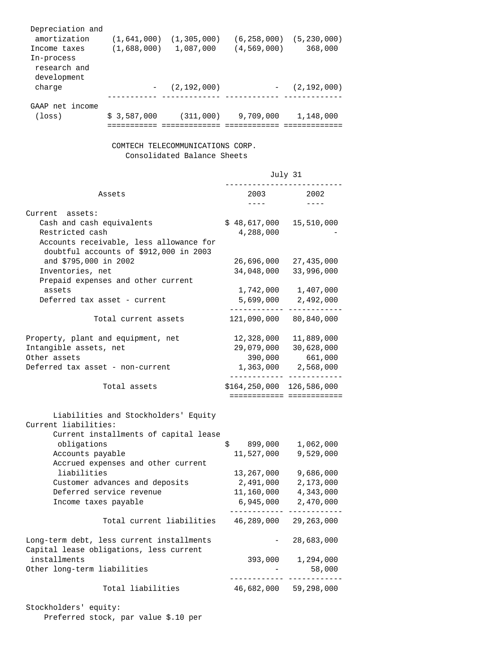| Depreciation and<br>amortization<br>Income taxes<br>In-process<br>research and<br>development | (1,641,000)<br>(1,688,000) | (1, 305, 000)<br>1,087,000 | (6, 258, 000)<br>(4, 569, 000) | (5, 230, 000)<br>368,000 |
|-----------------------------------------------------------------------------------------------|----------------------------|----------------------------|--------------------------------|--------------------------|
| charge                                                                                        |                            | (2,192,000)                |                                | (2, 192, 000)            |
| GAAP net income                                                                               |                            |                            |                                |                          |
| (loss)                                                                                        | \$3,587,000                | (311,000)                  | 9,709,000                      | 1,148,000                |

## COMTECH TELECOMMUNICATIONS CORP. Consolidated Balance Sheets

|                                                                                                                                                      | July 31                                            |                                                  |
|------------------------------------------------------------------------------------------------------------------------------------------------------|----------------------------------------------------|--------------------------------------------------|
| Assets                                                                                                                                               | 2003<br>$- - - -$                                  | 2002                                             |
| Current assets:<br>Cash and cash equivalents<br>Restricted cash<br>Accounts receivable, less allowance for<br>doubtful accounts of \$912,000 in 2003 | \$48,617,000<br>4,288,000                          | 15,510,000                                       |
| and \$795,000 in 2002<br>Inventories, net<br>Prepaid expenses and other current                                                                      | 26,696,000<br>34,048,000                           | 27,435,000<br>33,996,000                         |
| assets<br>Deferred tax asset - current                                                                                                               | 1,742,000<br>5,699,000                             | 1,407,000<br>2,492,000                           |
| Total current assets                                                                                                                                 | 121,090,000                                        | 80,840,000                                       |
| Property, plant and equipment, net<br>Intangible assets, net<br>Other assets<br>Deferred tax asset - non-current                                     | 12,328,000<br>29,079,000<br>390,000<br>1,363,000   | 11,889,000<br>30,628,000<br>661,000<br>2,568,000 |
| Total assets                                                                                                                                         | $$164, 250, 000$ $126, 586, 000$                   | =========================                        |
| Liabilities and Stockholders' Equity<br>Current liabilities:<br>Current installments of capital lease                                                |                                                    |                                                  |
| obligations<br>Accounts payable<br>Accrued expenses and other current                                                                                | \$<br>899,000<br>11,527,000                        | 1,062,000<br>9,529,000                           |
| liabilities<br>Customer advances and deposits<br>Deferred service revenue<br>Income taxes payable                                                    | 13,267,000<br>2,491,000<br>11,160,000<br>6,945,000 | 9,686,000<br>2,173,000<br>4,343,000<br>2,470,000 |
| Total current liabilities                                                                                                                            | 46,289,000                                         | 29, 263, 000                                     |
| Long-term debt, less current installments<br>Capital lease obligations, less current                                                                 |                                                    | 28,683,000                                       |
| installments<br>Other long-term liabilities                                                                                                          | 393,000                                            | 1,294,000<br>58,000                              |
| Total liabilities                                                                                                                                    | 46,682,000                                         | 59,298,000                                       |

Stockholders' equity: Preferred stock, par value \$.10 per